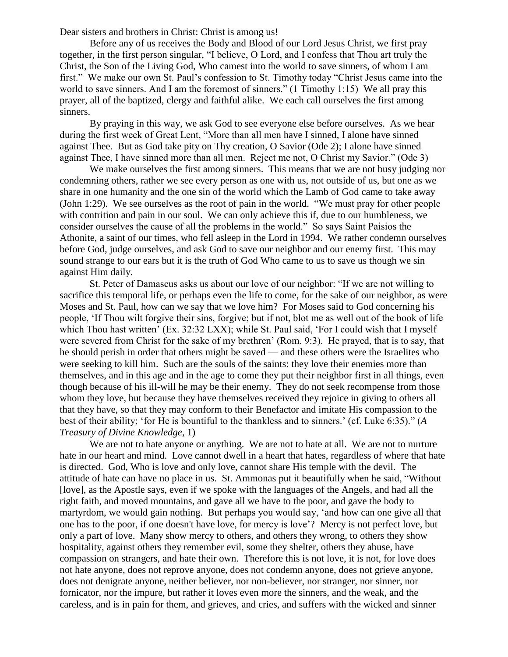Dear sisters and brothers in Christ: Christ is among us!

Before any of us receives the Body and Blood of our Lord Jesus Christ, we first pray together, in the first person singular, "I believe, O Lord, and I confess that Thou art truly the Christ, the Son of the Living God, Who camest into the world to save sinners, of whom I am first." We make our own St. Paul's confession to St. Timothy today "Christ Jesus came into the world to save sinners. And I am the foremost of sinners." (1 Timothy 1:15) We all pray this prayer, all of the baptized, clergy and faithful alike. We each call ourselves the first among sinners.

By praying in this way, we ask God to see everyone else before ourselves. As we hear during the first week of Great Lent, "More than all men have I sinned, I alone have sinned against Thee. But as God take pity on Thy creation, O Savior (Ode 2); I alone have sinned against Thee, I have sinned more than all men. Reject me not, O Christ my Savior." (Ode 3)

We make ourselves the first among sinners. This means that we are not busy judging nor condemning others, rather we see every person as one with us, not outside of us, but one as we share in one humanity and the one sin of the world which the Lamb of God came to take away (John 1:29). We see ourselves as the root of pain in the world. "We must pray for other people with contrition and pain in our soul. We can only achieve this if, due to our humbleness, we consider ourselves the cause of all the problems in the world." So says Saint Paisios the Athonite, a saint of our times, who fell asleep in the Lord in 1994. We rather condemn ourselves before God, judge ourselves, and ask God to save our neighbor and our enemy first. This may sound strange to our ears but it is the truth of God Who came to us to save us though we sin against Him daily.

St. Peter of Damascus asks us about our love of our neighbor: "If we are not willing to sacrifice this temporal life, or perhaps even the life to come, for the sake of our neighbor, as were Moses and St. Paul, how can we say that we love him? For Moses said to God concerning his people, 'If Thou wilt forgive their sins, forgive; but if not, blot me as well out of the book of life which Thou hast written' (Ex. 32:32 LXX); while St. Paul said, 'For I could wish that I myself were severed from Christ for the sake of my brethren' (Rom. 9:3). He prayed, that is to say, that he should perish in order that others might be saved — and these others were the Israelites who were seeking to kill him. Such are the souls of the saints: they love their enemies more than themselves, and in this age and in the age to come they put their neighbor first in all things, even though because of his ill-will he may be their enemy. They do not seek recompense from those whom they love, but because they have themselves received they rejoice in giving to others all that they have, so that they may conform to their Benefactor and imitate His compassion to the best of their ability; 'for He is bountiful to the thankless and to sinners.' (cf. Luke 6:35)." (*A Treasury of Divine Knowledge*, 1)

We are not to hate anyone or anything. We are not to hate at all. We are not to nurture hate in our heart and mind. Love cannot dwell in a heart that hates, regardless of where that hate is directed. God, Who is love and only love, cannot share His temple with the devil. The attitude of hate can have no place in us. St. Ammonas put it beautifully when he said, "Without [love], as the Apostle says, even if we spoke with the languages of the Angels, and had all the right faith, and moved mountains, and gave all we have to the poor, and gave the body to martyrdom, we would gain nothing. But perhaps you would say, 'and how can one give all that one has to the poor, if one doesn't have love, for mercy is love'? Mercy is not perfect love, but only a part of love. Many show mercy to others, and others they wrong, to others they show hospitality, against others they remember evil, some they shelter, others they abuse, have compassion on strangers, and hate their own. Therefore this is not love, it is not, for love does not hate anyone, does not reprove anyone, does not condemn anyone, does not grieve anyone, does not denigrate anyone, neither believer, nor non-believer, nor stranger, nor sinner, nor fornicator, nor the impure, but rather it loves even more the sinners, and the weak, and the careless, and is in pain for them, and grieves, and cries, and suffers with the wicked and sinner